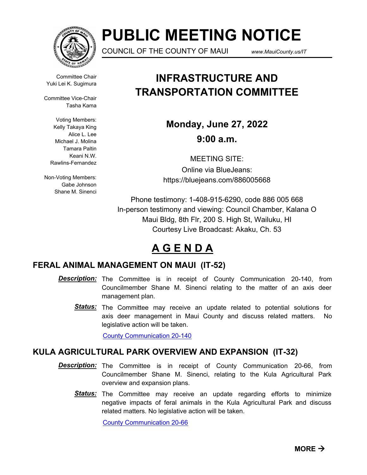

# **PUBLIC MEETING NOTICE**

COUNCIL OF THE COUNTY OF MAUI *www.MauiCounty.us/IT*

Committee Chair Yuki Lei K. Sugimura

Committee Vice-Chair Tasha Kama

> Voting Members: Kelly Takaya King Alice L. Lee Michael J. Molina Tamara Paltin Keani N.W. Rawlins-Fernandez

Non-Voting Members: Gabe Johnson Shane M. Sinenci

## **INFRASTRUCTURE AND TRANSPORTATION COMMITTEE**

**Monday, June 27, 2022 9:00 a.m.**

MEETING SITE: Online via BlueJeans: https://bluejeans.com/886005668

Phone testimony: 1-408-915-6290, code 886 005 668 In-person testimony and viewing: Council Chamber, Kalana O Maui Bldg, 8th Flr, 200 S. High St, Wailuku, HI Courtesy Live Broadcast: Akaku, Ch. 53

## **A G E N D A**

### **FERAL ANIMAL MANAGEMENT ON MAUI (IT-52)**

- **Description:** The Committee is in receipt of County Communication 20-140, from Councilmember Shane M. Sinenci relating to the matter of an axis deer management plan.
	- Status: The Committee may receive an update related to potential solutions for axis deer management in Maui County and discuss related matters. No legislative action will be taken.

[County Communication 20-140](http://mauicounty.legistar.com/gateway.aspx?M=F&ID=7e141755-15dc-4005-94e0-69f0a9099231.pdf)

### **KULA AGRICULTURAL PARK OVERVIEW AND EXPANSION (IT-32)**

- **Description:** The Committee is in receipt of County Communication 20-66, from Councilmember Shane M. Sinenci, relating to the Kula Agricultural Park overview and expansion plans.
	- Status: The Committee may receive an update regarding efforts to minimize negative impacts of feral animals in the Kula Agricultural Park and discuss related matters. No legislative action will be taken.

[County Communication 20-66](http://mauicounty.legistar.com/gateway.aspx?M=F&ID=156bb2ae-1f93-4091-af09-fa963314beae.pdf)